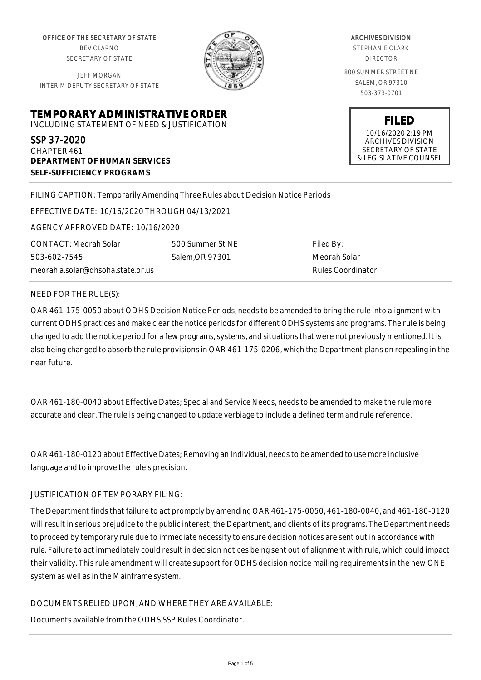OFFICE OF THE SECRETARY OF STATE BEV CLARNO SECRETARY OF STATE

JEFF MORGAN INTERIM DEPUTY SECRETARY OF STATE



ARCHIVES DIVISION STEPHANIE CLARK

DIRECTOR

800 SUMMER STREET NE SALEM, OR 97310 503-373-0701

> **FILED** 10/16/2020 2:19 PM ARCHIVES DIVISION SECRETARY OF STATE & LEGISLATIVE COUNSEL

**TEMPORARY ADMINISTRATIVE ORDER**

INCLUDING STATEMENT OF NEED & JUSTIFICATION

SSP 37-2020 CHAPTER 461 **DEPARTMENT OF HUMAN SERVICES SELF-SUFFICIENCY PROGRAMS**

FILING CAPTION: Temporarily Amending Three Rules about Decision Notice Periods

EFFECTIVE DATE: 10/16/2020 THROUGH 04/13/2021

AGENCY APPROVED DATE: 10/16/2020

meorah.a.solar@dhsoha.state.or.us 500 Summer St NE Salem,OR 97301

Filed By: Meorah Solar Rules Coordinator

NEED FOR THE RULE(S):

CONTACT: Meorah Solar

503-602-7545

OAR 461-175-0050 about ODHS Decision Notice Periods, needs to be amended to bring the rule into alignment with current ODHS practices and make clear the notice periods for different ODHS systems and programs. The rule is being changed to add the notice period for a few programs, systems, and situations that were not previously mentioned. It is also being changed to absorb the rule provisions in OAR 461-175-0206, which the Department plans on repealing in the near future.

OAR 461-180-0040 about Effective Dates; Special and Service Needs, needs to be amended to make the rule more accurate and clear. The rule is being changed to update verbiage to include a defined term and rule reference.

OAR 461-180-0120 about Effective Dates; Removing an Individual, needs to be amended to use more inclusive language and to improve the rule's precision.

## JUSTIFICATION OF TEMPORARY FILING:

The Department finds that failure to act promptly by amending OAR 461-175-0050, 461-180-0040, and 461-180-0120 will result in serious prejudice to the public interest, the Department, and clients of its programs. The Department needs to proceed by temporary rule due to immediate necessity to ensure decision notices are sent out in accordance with rule. Failure to act immediately could result in decision notices being sent out of alignment with rule, which could impact their validity. This rule amendment will create support for ODHS decision notice mailing requirements in the new ONE system as well as in the Mainframe system.

DOCUMENTS RELIED UPON, AND WHERE THEY ARE AVAILABLE:

Documents available from the ODHS SSP Rules Coordinator.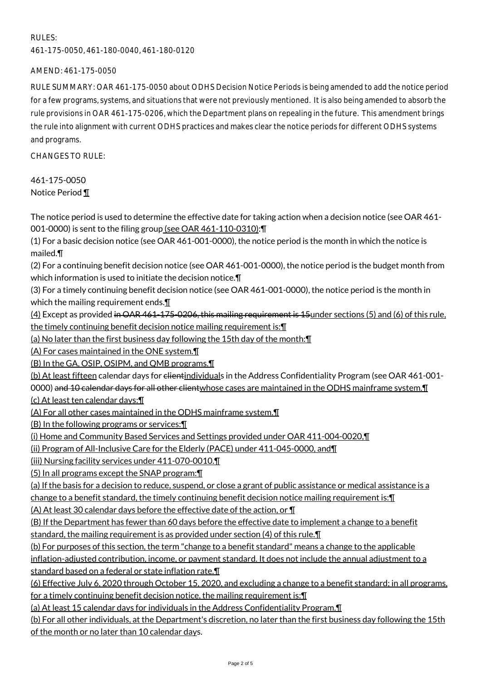## RULES:

461-175-0050, 461-180-0040, 461-180-0120

AMEND: 461-175-0050

RULE SUMMARY: OAR 461-175-0050 about ODHS Decision Notice Periods is being amended to add the notice period for a few programs, systems, and situations that were not previously mentioned. It is also being amended to absorb the rule provisions in OAR 461-175-0206, which the Department plans on repealing in the future. This amendment brings the rule into alignment with current ODHS practices and makes clear the notice periods for different ODHS systems and programs.

CHANGES TO RULE:

461-175-0050 Notice Period ¶

The notice period is used to determine the effective date for taking action when a decision notice (see OAR 461- 001-0000) is sent to the filing group (see OAR 461-110-0310):¶

(1) For a basic decision notice (see OAR 461-001-0000), the notice period is the month in which the notice is mailed.¶

(2) For a continuing benefit decision notice (see OAR 461-001-0000), the notice period is the budget month from which information is used to initiate the decision notice.¶

(3) For a timely continuing benefit decision notice (see OAR 461-001-0000), the notice period is the month in which the mailing requirement ends.

(4) Except as provided in OAR 461-175-0206, this mailing requirement is 15under sections (5) and (6) of this rule, the timely continuing benefit decision notice mailing requirement is:¶

(a) No later than the first business day following the 15th day of the month:¶

(A) For cases maintained in the ONE system.¶

(B) In the GA, OSIP, OSIPM, and QMB programs.¶

(b) At least fifteen calendar days for clientindividuals in the Address Confidentiality Program (see OAR 461-001-

0000) and 10 calendar days for all other clientwhose cases are maintained in the ODHS mainframe system. I

(c) At least ten calendar days:¶

(A) For all other cases maintained in the ODHS mainframe system.¶

(B) In the following programs or services:¶

(i) Home and Community Based Services and Settings provided under OAR 411-004-0020,¶

(ii) Program of All-Inclusive Care for the Elderly (PACE) under 411-045-0000, and¶

(iii) Nursing facility services under 411-070-0010.¶

(5) In all programs except the SNAP program:¶

(a) If the basis for a decision to reduce, suspend, or close a grant of public assistance or medical assistance is a

change to a benefit standard, the timely continuing benefit decision notice mailing requirement is:¶

(A) At least 30 calendar days before the effective date of the action, or ¶

(B) If the Department has fewer than 60 days before the effective date to implement a change to a benefit standard, the mailing requirement is as provided under section (4) of this rule.¶

(b) For purposes of this section, the term "change to a benefit standard" means a change to the applicable inflation-adjusted contribution, income, or payment standard. It does not include the annual adjustment to a standard based on a federal or state inflation rate.¶

(6) Effective July 6, 2020 through October 15, 2020, and excluding a change to a benefit standard; in all programs, for a timely continuing benefit decision notice, the mailing requirement is:¶

(a) At least 15 calendar days for individuals in the Address Confidentiality Program.¶

(b) For all other individuals, at the Department's discretion, no later than the first business day following the 15th of the month or no later than 10 calendar days.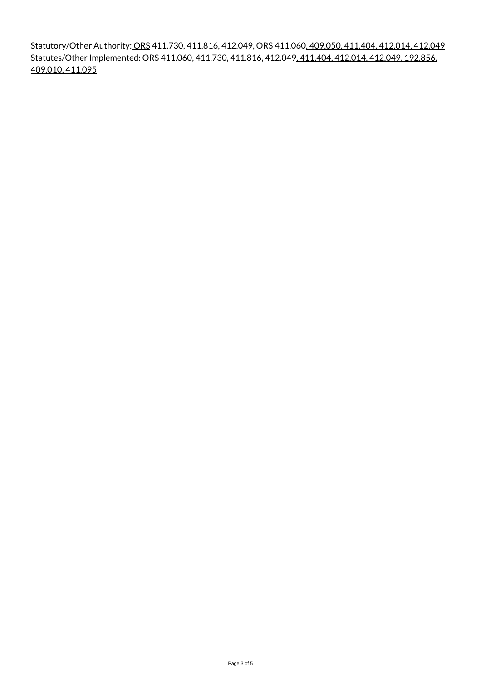Statutory/Other Authority: ORS 411.730, 411.816, 412.049, ORS 411.060, 409.050, 411.404, 412.014, 412.049 Statutes/Other Implemented: ORS 411.060, 411.730, 411.816, 412.049, 411.404, 412.014, 412.049, 192.856, 409.010, 411.095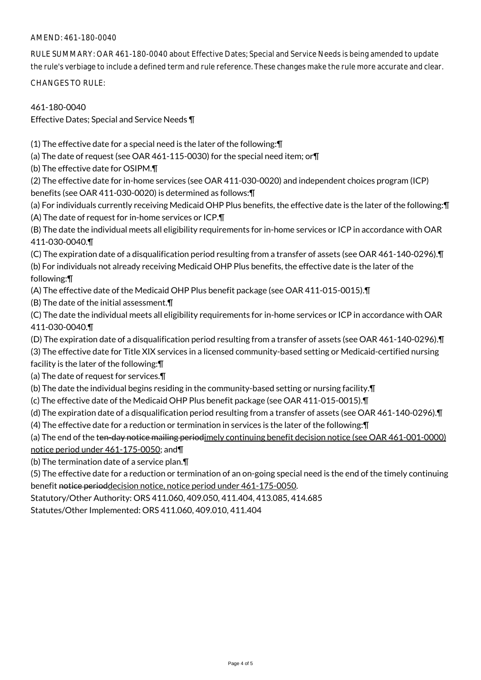## AMEND: 461-180-0040

RULE SUMMARY: OAR 461-180-0040 about Effective Dates; Special and Service Needs is being amended to update the rule's verbiage to include a defined term and rule reference. These changes make the rule more accurate and clear.

CHANGES TO RULE:

461-180-0040

Effective Dates; Special and Service Needs ¶

(1) The effective date for a special need is the later of the following:¶

(a) The date of request (see OAR 461-115-0030) for the special need item; or¶

(b) The effective date for OSIPM.¶

(2) The effective date for in-home services (see OAR 411-030-0020) and independent choices program (ICP) benefits (see OAR 411-030-0020) is determined as follows:¶

(a) For individuals currently receiving Medicaid OHP Plus benefits, the effective date is the later of the following:¶ (A) The date of request for in-home services or ICP.¶

(B) The date the individual meets all eligibility requirements for in-home services or ICP in accordance with OAR 411-030-0040.¶

(C) The expiration date of a disqualification period resulting from a transfer of assets (see OAR 461-140-0296).¶ (b) For individuals not already receiving Medicaid OHP Plus benefits, the effective date is the later of the

following:¶

(A) The effective date of the Medicaid OHP Plus benefit package (see OAR 411-015-0015).¶

(B) The date of the initial assessment.¶

(C) The date the individual meets all eligibility requirements for in-home services or ICP in accordance with OAR 411-030-0040.¶

(D) The expiration date of a disqualification period resulting from a transfer of assets (see OAR 461-140-0296).¶

(3) The effective date for Title XIX services in a licensed community-based setting or Medicaid-certified nursing facility is the later of the following:¶

(a) The date of request for services.¶

(b) The date the individual begins residing in the community-based setting or nursing facility.¶

- (c) The effective date of the Medicaid OHP Plus benefit package (see OAR 411-015-0015).¶
- (d) The expiration date of a disqualification period resulting from a transfer of assets (see OAR 461-140-0296).¶
- (4) The effective date for a reduction or termination in services is the later of the following:¶

(a) The end of the ten-day notice mailing periodimely continuing benefit decision notice (see OAR 461-001-0000) notice period under 461-175-0050; and¶

(b) The termination date of a service plan.¶

(5) The effective date for a reduction or termination of an on-going special need is the end of the timely continuing benefit notice perioddecision notice, notice period under 461-175-0050.

Statutory/Other Authority: ORS 411.060, 409.050, 411.404, 413.085, 414.685

Statutes/Other Implemented: ORS 411.060, 409.010, 411.404